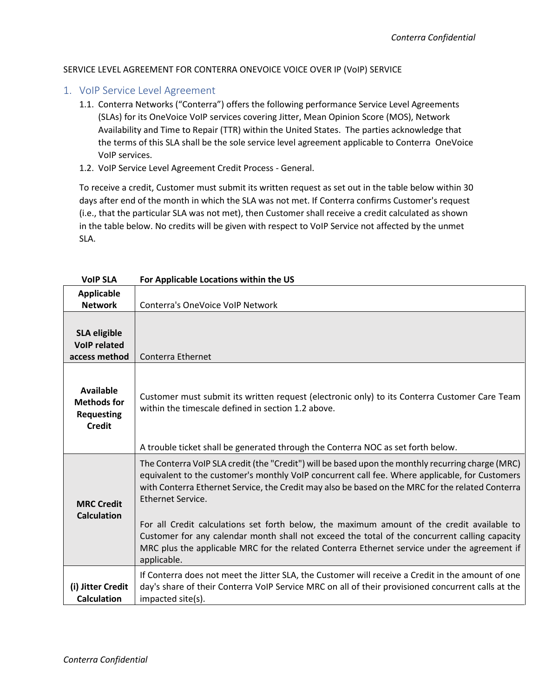#### SERVICE LEVEL AGREEMENT FOR CONTERRA ONEVOICE VOICE OVER IP (VoIP) SERVICE

- 1. VoIP Service Level Agreement
	- 1.1. Conterra Networks ("Conterra") offers the following performance Service Level Agreements (SLAs) for its OneVoice VoIP services covering Jitter, Mean Opinion Score (MOS), Network Availability and Time to Repair (TTR) within the United States. The parties acknowledge that the terms of this SLA shall be the sole service level agreement applicable to Conterra OneVoice VoIP services.
	- 1.2. VoIP Service Level Agreement Credit Process General.

To receive a credit, Customer must submit its written request as set out in the table below within 30 days after end of the month in which the SLA was not met. If Conterra confirms Customer's request (i.e., that the particular SLA was not met), then Customer shall receive a credit calculated as shown in the table below. No credits will be given with respect to VoIP Service not affected by the unmet SLA.

| <b>VoIP SLA</b>                                                              | For Applicable Locations within the US                                                                                                                                                                                                                                                                                                                                                                                                                                                                                                                                                                                                     |
|------------------------------------------------------------------------------|--------------------------------------------------------------------------------------------------------------------------------------------------------------------------------------------------------------------------------------------------------------------------------------------------------------------------------------------------------------------------------------------------------------------------------------------------------------------------------------------------------------------------------------------------------------------------------------------------------------------------------------------|
| <b>Applicable</b><br><b>Network</b>                                          | Conterra's OneVoice VoIP Network                                                                                                                                                                                                                                                                                                                                                                                                                                                                                                                                                                                                           |
| <b>SLA eligible</b><br><b>VoIP related</b><br>access method                  | Conterra Ethernet                                                                                                                                                                                                                                                                                                                                                                                                                                                                                                                                                                                                                          |
| <b>Available</b><br><b>Methods for</b><br><b>Requesting</b><br><b>Credit</b> | Customer must submit its written request (electronic only) to its Conterra Customer Care Team<br>within the timescale defined in section 1.2 above.<br>A trouble ticket shall be generated through the Conterra NOC as set forth below.                                                                                                                                                                                                                                                                                                                                                                                                    |
| <b>MRC Credit</b><br><b>Calculation</b>                                      | The Conterra VoIP SLA credit (the "Credit") will be based upon the monthly recurring charge (MRC)<br>equivalent to the customer's monthly VoIP concurrent call fee. Where applicable, for Customers<br>with Conterra Ethernet Service, the Credit may also be based on the MRC for the related Conterra<br>Ethernet Service.<br>For all Credit calculations set forth below, the maximum amount of the credit available to<br>Customer for any calendar month shall not exceed the total of the concurrent calling capacity<br>MRC plus the applicable MRC for the related Conterra Ethernet service under the agreement if<br>applicable. |
| (i) Jitter Credit<br><b>Calculation</b>                                      | If Conterra does not meet the Jitter SLA, the Customer will receive a Credit in the amount of one<br>day's share of their Conterra VoIP Service MRC on all of their provisioned concurrent calls at the<br>impacted site(s).                                                                                                                                                                                                                                                                                                                                                                                                               |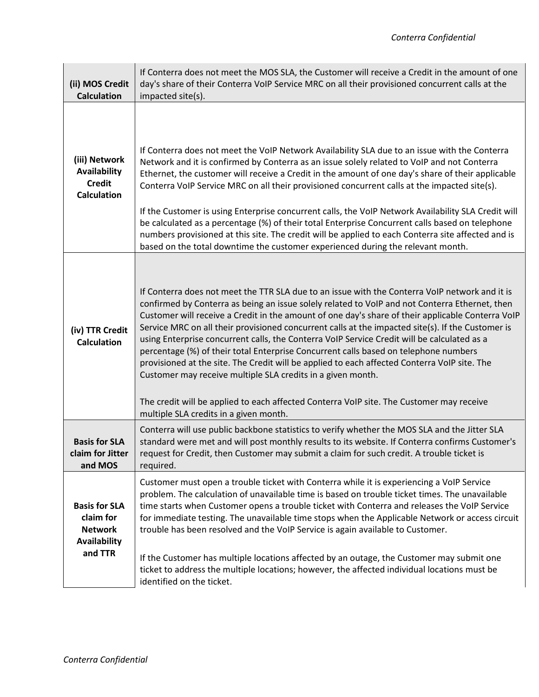| (ii) MOS Credit<br><b>Calculation</b>                                          | If Conterra does not meet the MOS SLA, the Customer will receive a Credit in the amount of one<br>day's share of their Conterra VoIP Service MRC on all their provisioned concurrent calls at the<br>impacted site(s).                                                                                                                                                                                                                                                                                                                                                                                                                                                                                                                                                                                                                                                                                 |
|--------------------------------------------------------------------------------|--------------------------------------------------------------------------------------------------------------------------------------------------------------------------------------------------------------------------------------------------------------------------------------------------------------------------------------------------------------------------------------------------------------------------------------------------------------------------------------------------------------------------------------------------------------------------------------------------------------------------------------------------------------------------------------------------------------------------------------------------------------------------------------------------------------------------------------------------------------------------------------------------------|
| (iii) Network<br><b>Availability</b><br><b>Credit</b><br><b>Calculation</b>    | If Conterra does not meet the VoIP Network Availability SLA due to an issue with the Conterra<br>Network and it is confirmed by Conterra as an issue solely related to VoIP and not Conterra<br>Ethernet, the customer will receive a Credit in the amount of one day's share of their applicable<br>Conterra VoIP Service MRC on all their provisioned concurrent calls at the impacted site(s).<br>If the Customer is using Enterprise concurrent calls, the VoIP Network Availability SLA Credit will<br>be calculated as a percentage (%) of their total Enterprise Concurrent calls based on telephone<br>numbers provisioned at this site. The credit will be applied to each Conterra site affected and is<br>based on the total downtime the customer experienced during the relevant month.                                                                                                   |
| (iv) TTR Credit<br><b>Calculation</b>                                          | If Conterra does not meet the TTR SLA due to an issue with the Conterra VoIP network and it is<br>confirmed by Conterra as being an issue solely related to VoIP and not Conterra Ethernet, then<br>Customer will receive a Credit in the amount of one day's share of their applicable Conterra VoIP<br>Service MRC on all their provisioned concurrent calls at the impacted site(s). If the Customer is<br>using Enterprise concurrent calls, the Conterra VoIP Service Credit will be calculated as a<br>percentage (%) of their total Enterprise Concurrent calls based on telephone numbers<br>provisioned at the site. The Credit will be applied to each affected Conterra VoIP site. The<br>Customer may receive multiple SLA credits in a given month.<br>The credit will be applied to each affected Conterra VoIP site. The Customer may receive<br>multiple SLA credits in a given month. |
| <b>Basis for SLA</b><br>claim for Jitter<br>and MOS                            | Conterra will use public backbone statistics to verify whether the MOS SLA and the Jitter SLA<br>standard were met and will post monthly results to its website. If Conterra confirms Customer's<br>request for Credit, then Customer may submit a claim for such credit. A trouble ticket is<br>required.                                                                                                                                                                                                                                                                                                                                                                                                                                                                                                                                                                                             |
| <b>Basis for SLA</b><br>claim for<br><b>Network</b><br>Availability<br>and TTR | Customer must open a trouble ticket with Conterra while it is experiencing a VoIP Service<br>problem. The calculation of unavailable time is based on trouble ticket times. The unavailable<br>time starts when Customer opens a trouble ticket with Conterra and releases the VoIP Service<br>for immediate testing. The unavailable time stops when the Applicable Network or access circuit<br>trouble has been resolved and the VoIP Service is again available to Customer.<br>If the Customer has multiple locations affected by an outage, the Customer may submit one<br>ticket to address the multiple locations; however, the affected individual locations must be<br>identified on the ticket.                                                                                                                                                                                             |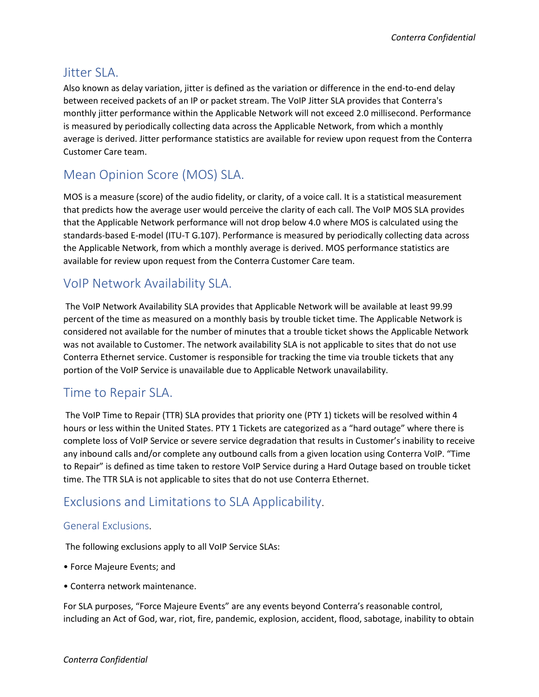#### Jitter SLA.

Also known as delay variation, jitter is defined as the variation or difference in the end-to-end delay between received packets of an IP or packet stream. The VoIP Jitter SLA provides that Conterra's monthly jitter performance within the Applicable Network will not exceed 2.0 millisecond. Performance is measured by periodically collecting data across the Applicable Network, from which a monthly average is derived. Jitter performance statistics are available for review upon request from the Conterra Customer Care team.

## Mean Opinion Score (MOS) SLA.

MOS is a measure (score) of the audio fidelity, or clarity, of a voice call. It is a statistical measurement that predicts how the average user would perceive the clarity of each call. The VoIP MOS SLA provides that the Applicable Network performance will not drop below 4.0 where MOS is calculated using the standards-based E-model (ITU-T G.107). Performance is measured by periodically collecting data across the Applicable Network, from which a monthly average is derived. MOS performance statistics are available for review upon request from the Conterra Customer Care team.

## VoIP Network Availability SLA.

The VoIP Network Availability SLA provides that Applicable Network will be available at least 99.99 percent of the time as measured on a monthly basis by trouble ticket time. The Applicable Network is considered not available for the number of minutes that a trouble ticket shows the Applicable Network was not available to Customer. The network availability SLA is not applicable to sites that do not use Conterra Ethernet service. Customer is responsible for tracking the time via trouble tickets that any portion of the VoIP Service is unavailable due to Applicable Network unavailability.

## Time to Repair SLA.

The VoIP Time to Repair (TTR) SLA provides that priority one (PTY 1) tickets will be resolved within 4 hours or less within the United States. PTY 1 Tickets are categorized as a "hard outage" where there is complete loss of VoIP Service or severe service degradation that results in Customer's inability to receive any inbound calls and/or complete any outbound calls from a given location using Conterra VoIP. "Time to Repair" is defined as time taken to restore VoIP Service during a Hard Outage based on trouble ticket time. The TTR SLA is not applicable to sites that do not use Conterra Ethernet.

# Exclusions and Limitations to SLA Applicability.

#### General Exclusions.

The following exclusions apply to all VoIP Service SLAs:

- Force Majeure Events; and
- Conterra network maintenance.

For SLA purposes, "Force Majeure Events" are any events beyond Conterra's reasonable control, including an Act of God, war, riot, fire, pandemic, explosion, accident, flood, sabotage, inability to obtain